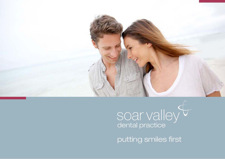

soar valley

putting smiles first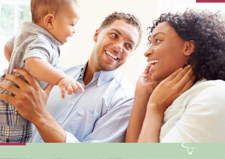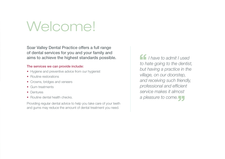# Welcome!

Soar Valley Dental Practice offers a full range of dental services for you and your family and aims to achieve the highest standards possible.

#### The services we can provide include:

- Hygiene and preventive advice from our hygienist
- Routine restorations
- Crowns, bridges and veneers
- Gum treatments
- Dentures
- Routine dental health checks.

Providing regular dental advice to help you take care of your teeth and gums may reduce the amount of dental treatment you need.

*I have to admit I used to hate going to the dentist, but having a practice in the village, on our doorstep, and receiving such friendly, professional and efficient service makes it almost a pleasure to come.*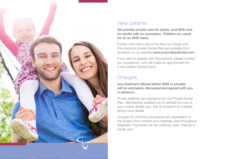

# New patients

We provide private care for adults, and NHS care for adults with an exemption. Children are cared for on an NHS basis.

Further information about the fees we charge and the practice's private Dental Plan are available from reception or our website www.soarvalleydental.com.

If you wish to register with the practice, please contact our receptionist, who will make an appointment for a new patient dental check.

# **Charges**

Any treatment offered (either NHS or private) will be estimated, discussed and agreed with you in advance.

Private patients can choose to join our Private Dental Plan. Membership enables you to spread the cost of your routine dental care. Ask at reception for a leaflet giving more details.

Charges for common procedures are dependent on the surgery time needed and materials used throughout treatment. Payments can be made by cash, cheque or credit card.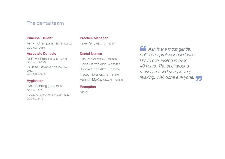## The dental team

#### Principal Dentist

Ashvin Champaneri BChD (Leeds) GDC no: 72985

#### Associate Dentists

Dr Devik Patel BDS (Birm 2009) GDC no: 178062 Dr Jesal Savania BDS (Dundee

2012) GDC no: 226943

#### **Hygienists**

Lydia Pantling (Lpool 1988) GDC no: 3474 Fiona Murphy EDH (Cardiff 1982)

GDC no: 2476

#### Practice Manager

Faye Perry GDC no: 130877

### Dental Nurses

Lisa Parker GDC no: 130876 Eloise Harrop GDC no: 225422 Sophie Orton GDC no: 225420 Tracey Tipler GDC no: 131879 Hannah McKay GDC no: 198309

## Reception

**Nicky** 

*Ash is the most gentle, polite and professional dentist I have ever visited in over 40 years. The background music and bird song is very relaxing. Well done everyone!*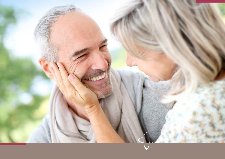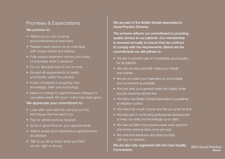## Promises & Expectations

## We promise to:

- Welcome you into a caring and professional environment
- Respect each person as an individual, with unique needs and desires
- Fully explain treatment options and costs of proposed work in advance
- **•** Do our absolute best to run on time
- Exceed all requirements for safety and sterility within the practice
- Invest constantly in acquiring new knowledge, skills and technology
- Make no charge for appointments changed or cancelled where 48 hours' notice has been given.

### We appreciate your commitment to:

- Look after your teeth by carrying out the techniques that we teach you
- Pay for dental work as required
- Arrive in good time for your appointments
- **•** Attend review and maintenance appointments as advised
- Talk to us, let us know what you think we do, right or wrong.

We are part of the British Dental Association's Good Practice Scheme.

The scheme reflects our commitment to providing quality service to our patients. Our membership is renewed annually to ensure that we continue to comply with the requirements. Below are the commitments we still adhere to:

- We aim to provide care of consistently good quality, for all patients.
- We only provide care that meets your needs and wishes.
- We aim to make your treatment as comfortable and convenient as possible.
- We look after your general health and safety while you are receiving dental care.
- We follow the British Dental Association's guidelines of infection control.
- We check for mouth cancer and tell you what we find.
- We take part in continuing professional development to keep our skills and knowledge up-to-date.
- We train all staff in the practice-wide work systems and review training plans once per year.
- We welcome feedback and deal promptly with any complaints.

We are also fully registered with the Care Quality Commission.

**BDA Good Practice** Member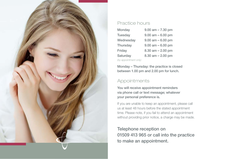

## Practice hours

| Monday                | $9.00$ am $- 7.30$ pm |
|-----------------------|-----------------------|
| <b>Tuesday</b>        | $9.00$ am $-6.00$ pm  |
| Wednesday             | $9.00$ am $-6.00$ pm  |
| Thursday              | $9.00$ am $-6.00$ pm  |
| Friday                | $8.30$ am $- 2.00$ pm |
| Saturday              | $8.30$ am $- 2.00$ pm |
| (by appointment only) |                       |

Monday – Thursday: the practice is closed between 1.00 pm and 2.00 pm for lunch.

## Appointments

You will receive appointment reminders via phone call or text message; whatever your personal preference is.

If you are unable to keep an appointment, please call us at least 48 hours before the stated appointment time. Please note, if you fail to attend an appointment without providing prior notice, a charge may be made.

Telephone reception on 01509 413 965 or call into the practice to make an appointment.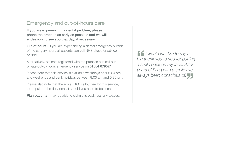## Emergency and out-of-hours care

If you are experiencing a dental problem, please phone the practice as early as possible and we will endeavour to see you that day, if necessary.

Out of hours - if you are experiencing a dental emergency outside of the surgery hours all patients can call NHS direct for advice on 111.

Alternatively, patients registered with the practice can call our private out-of-hours emergency service on 01384 679024.

Please note that this service is available weekdays after 6.00 pm and weekends and bank holidays between 9.00 am and 5.30 pm.

Please also note that there is a £100 callout fee for this service, to be paid to the duty dentist should you need to be seen.

Plan patients - may be able to claim this back less any excess.

*I would just like to say a big thank you to you for putting a smile back on my face. After years of living with a smile I've always been conscious of.*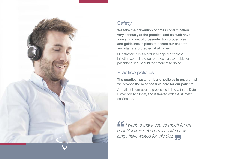

# **Safety**

We take the prevention of cross contamination very seriously at the practice, and as such have a very rigid set of cross-infection procedures and guidelines in place to ensure our patients and staff are protected at all times.

Our staff are fully trained in all aspects of crossinfection control and our protocols are available for patients to see, should they request to do so.

# Practice policies

## The practice has a number of policies to ensure that we provide the best possible care for our patients.

All patient information is processed in line with the Data Protection Act 1998, and is treated with the strictest confidence.

*I want to thank you so much for my beautiful smile. You have no idea how long I have waited for this day.*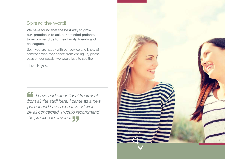## Spread the word!

We have found that the best way to grow our practice is to ask our satisfied patients to recommend us to their family, friends and colleagues.

So, if you are happy with our service and know of someone who may benefit from visiting us, please pass on our details, we would love to see them.

Thank you

*I have had exceptional treatment from all the staff here. I came as a new patient and have been treated well by all concerned. I would recommend the practice to anyone.*